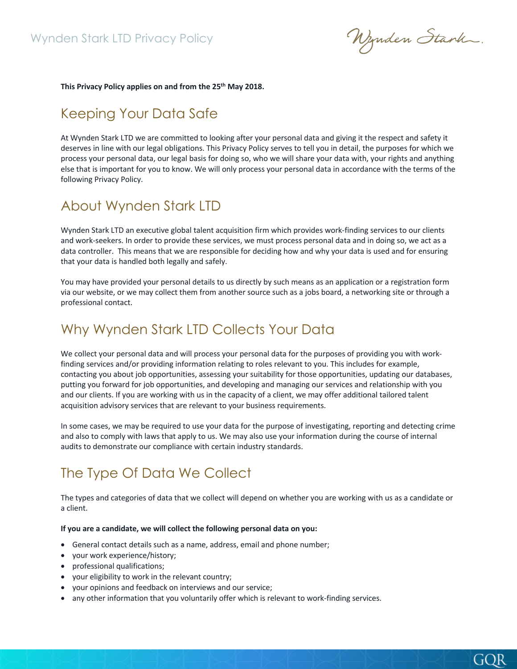Nynden Stark.

GOR

This Privacy Policy applies on and from the 25<sup>th</sup> May 2018.

### Keeping Your Data Safe

At Wynden Stark LTD we are committed to looking after your personal data and giving it the respect and safety it deserves in line with our legal obligations. This Privacy Policy serves to tell you in detail, the purposes for which we process your personal data, our legal basis for doing so, who we will share your data with, your rights and anything else that is important for you to know. We will only process your personal data in accordance with the terms of the following Privacy Policy.

### About Wynden Stark LTD

Wynden Stark LTD an executive global talent acquisition firm which provides work-finding services to our clients and work-seekers. In order to provide these services, we must process personal data and in doing so, we act as a data controller. This means that we are responsible for deciding how and why your data is used and for ensuring that your data is handled both legally and safely.

You may have provided your personal details to us directly by such means as an application or a registration form via our website, or we may collect them from another source such as a jobs board, a networking site or through a professional contact.

## Why Wynden Stark LTD Collects Your Data

We collect your personal data and will process your personal data for the purposes of providing you with workfinding services and/or providing information relating to roles relevant to you. This includes for example, contacting you about job opportunities, assessing your suitability for those opportunities, updating our databases, putting you forward for job opportunities, and developing and managing our services and relationship with you and our clients. If you are working with us in the capacity of a client, we may offer additional tailored talent acquisition advisory services that are relevant to your business requirements.

In some cases, we may be required to use your data for the purpose of investigating, reporting and detecting crime and also to comply with laws that apply to us. We may also use your information during the course of internal audits to demonstrate our compliance with certain industry standards.

# The Type Of Data We Collect

The types and categories of data that we collect will depend on whether you are working with us as a candidate or a client.

#### **If you are a candidate, we will collect the following personal data on you:**

- General contact details such as a name, address, email and phone number;
- your work experience/history;
- professional qualifications;
- your eligibility to work in the relevant country;
- your opinions and feedback on interviews and our service;
- any other information that you voluntarily offer which is relevant to work-finding services.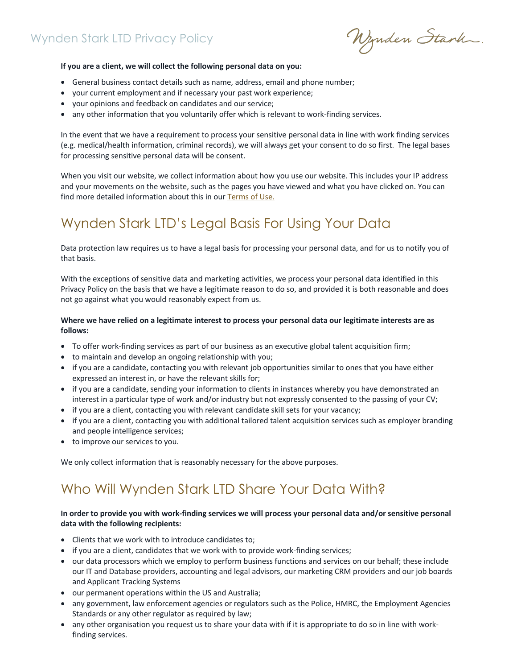Nynden Stark.

#### **If you are a client, we will collect the following personal data on you:**

- General business contact details such as name, address, email and phone number;
- your current employment and if necessary your past work experience;
- your opinions and feedback on candidates and our service;
- any other information that you voluntarily offer which is relevant to work-finding services.

In the event that we have a requirement to process your sensitive personal data in line with work finding services (e.g. medical/health information, criminal records), we will always get your consent to do so first. The legal bases for processing sensitive personal data will be consent.

When you visit our website, we collect information about how you use our website. This includes your IP address and your movements on the website, such as the pages you have viewed and what you have clicked on. You can find more detailed information about this in our Terms of Use.

# Wynden Stark LTD's Legal Basis For Using Your Data

Data protection law requires us to have a legal basis for processing your personal data, and for us to notify you of that basis.

With the exceptions of sensitive data and marketing activities, we process your personal data identified in this Privacy Policy on the basis that we have a legitimate reason to do so, and provided it is both reasonable and does not go against what you would reasonably expect from us.

### **Where we have relied on a legitimate interest to process your personal data our legitimate interests are as follows:**

- To offer work-finding services as part of our business as an executive global talent acquisition firm;
- to maintain and develop an ongoing relationship with you;
- if you are a candidate, contacting you with relevant job opportunities similar to ones that you have either expressed an interest in, or have the relevant skills for;
- if you are a candidate, sending your information to clients in instances whereby you have demonstrated an interest in a particular type of work and/or industry but not expressly consented to the passing of your CV;
- if you are a client, contacting you with relevant candidate skill sets for your vacancy;
- if you are a client, contacting you with additional tailored talent acquisition services such as employer branding and people intelligence services;
- to improve our services to you.

We only collect information that is reasonably necessary for the above purposes.

# Who Will Wynden Stark LTD Share Your Data With?

### **In order to provide you with work-finding services we will process your personal data and/or sensitive personal data with the following recipients:**

- Clients that we work with to introduce candidates to;
- if you are a client, candidates that we work with to provide work-finding services;
- our data processors which we employ to perform business functions and services on our behalf; these include our IT and Database providers, accounting and legal advisors, our marketing CRM providers and our job boards and Applicant Tracking Systems
- our permanent operations within the US and Australia;
- any government, law enforcement agencies or regulators such as the Police, HMRC, the Employment Agencies Standards or any other regulator as required by law;
- any other organisation you request us to share your data with if it is appropriate to do so in line with workfinding services.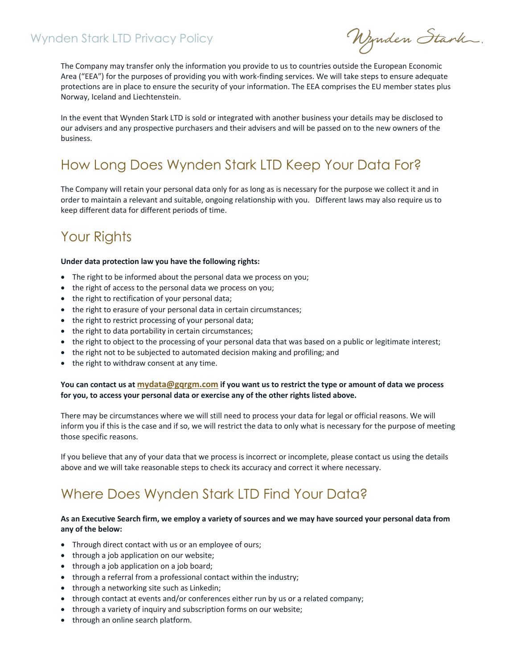Nynden Stark.

The Company may transfer only the information you provide to us to countries outside the European Economic Area ("EEA") for the purposes of providing you with work-finding services. We will take steps to ensure adequate protections are in place to ensure the security of your information. The EEA comprises the EU member states plus Norway, Iceland and Liechtenstein.

In the event that Wynden Stark LTD is sold or integrated with another business your details may be disclosed to our advisers and any prospective purchasers and their advisers and will be passed on to the new owners of the business.

# How Long Does Wynden Stark LTD Keep Your Data For?

The Company will retain your personal data only for as long as is necessary for the purpose we collect it and in order to maintain a relevant and suitable, ongoing relationship with you. Different laws may also require us to keep different data for different periods of time.

## Your Rights

#### **Under data protection law you have the following rights:**

- The right to be informed about the personal data we process on you;
- the right of access to the personal data we process on you;
- the right to rectification of your personal data;
- the right to erasure of your personal data in certain circumstances;
- the right to restrict processing of your personal data;
- the right to data portability in certain circumstances;
- the right to object to the processing of your personal data that was based on a public or legitimate interest;
- the right not to be subjected to automated decision making and profiling; and
- the right to withdraw consent at any time.

### **You can contact us at mydata@gqrgm.com if you want us to restrict the type or amount of data we process for you, to access your personal data or exercise any of the other rights listed above.**

There may be circumstances where we will still need to process your data for legal or official reasons. We will inform you if this is the case and if so, we will restrict the data to only what is necessary for the purpose of meeting those specific reasons.

If you believe that any of your data that we process is incorrect or incomplete, please contact us using the details above and we will take reasonable steps to check its accuracy and correct it where necessary.

## Where Does Wynden Stark LTD Find Your Data?

### **As an Executive Search firm, we employ a variety of sources and we may have sourced your personal data from any of the below:**

- Through direct contact with us or an employee of ours;
- through a job application on our website;
- through a job application on a job board;
- through a referral from a professional contact within the industry;
- through a networking site such as Linkedin;
- through contact at events and/or conferences either run by us or a related company;
- through a variety of inquiry and subscription forms on our website;
- through an online search platform.